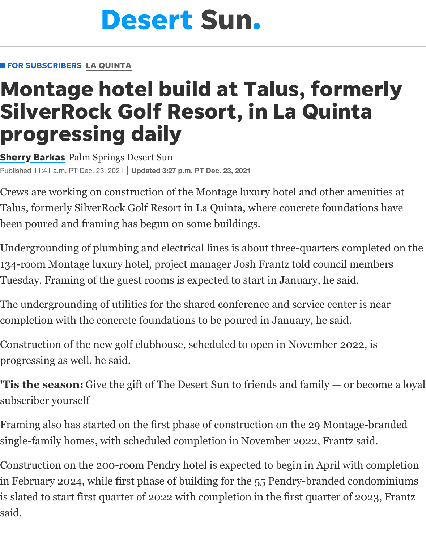## **Montage [hotel build at Talus, fo](https://www.desertsun.com/)rm** SilverRock Golf Resort, in La Quint progres[sing d](https://www.desertsun.com/news/la-quinta/)aily

**Sherry Barkas** Palm Springs Desert Sun Published 11:41 a.m. PT Dec. 23, 2021 **Updated 3:27 p.m. PT Dec. 23, 2021**

Crews are working on construction of the Montage luxury hotel and other am Talus, formerly SilverRock Golf Resort in La Quinta, where concrete foundati [been poured a](https://www.desertsun.com/staff/4388143002/sherry-barkas/)nd framing has begun on some buildings.

Undergrounding of plumbing and electrical lines is about three-quarters com 134-room Montage luxury hotel, project manager Josh Frantz told council me Tuesday. Framing of the guest rooms is expected to start in January, he said.

The undergrounding of utilities for the shared conference and service center is completion with the concrete foundations to be poured in January, he said.

Construction of the new golf clubhouse, scheduled to open in November 2022 progressing as well, he said.

**'Tis the season:** Give the gift of The Desert Sun to friends and family  $-$  or  $b$ subscriber yourself

Framing also has started on the first phase of construction on the 29 Montage single-family homes, with scheduled completion in November 2022, Frantz said.

Construction on the 200-room Pendry hotel is expected to begin in April with in February 2024, while first phase of building for the 55 Pendry-branded cor is slated to start first quarter of 2022 with completion in the first quarter of 2 $\cdot$ said.